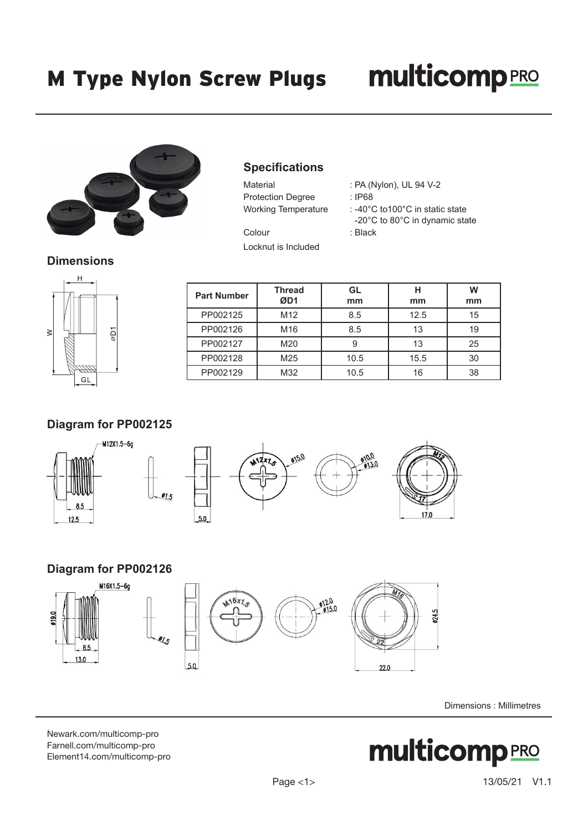# **multicomp**PRO



# **Specifications**

| Material                   | : PA (Nylon), UL 94 V-2  |
|----------------------------|--------------------------|
| <b>Protection Degree</b>   | : IP68                   |
| <b>Working Temperature</b> | : -40°C to100°C in stati |

| PA (Nylon), UL 94 V-2 |  |  |
|-----------------------|--|--|
|                       |  |  |

: -40°C to100°C in static state -20°C to 80°C in dynamic state

Colour : Black Locknut is Included

**Dimensions**



| <b>Part Number</b> | <b>Thread</b><br>ØD1 | GL<br>mm | н<br>mm | W<br>mm |
|--------------------|----------------------|----------|---------|---------|
| PP002125           | M <sub>12</sub>      | 8.5      | 12.5    | 15      |
| PP002126           | M <sub>16</sub>      | 8.5      | 13      | 19      |
| PP002127           | M20                  | 9        | 13      | 25      |
| PP002128           | M25                  | 10.5     | 15.5    | 30      |
| PP002129           | M32                  | 10.5     | 16      | 38      |

## **Diagram for PP002125**





#### **Diagram for PP002126**







Dimensions : Millimetres

[Newark.com/multicomp-](https://www.newark.com/multicomp-pro)pro [Farnell.com/multicomp](https://www.farnell.com/multicomp-pro)-pro [Element14.com/multicomp-pro](https://element14.com/multicomp-pro)

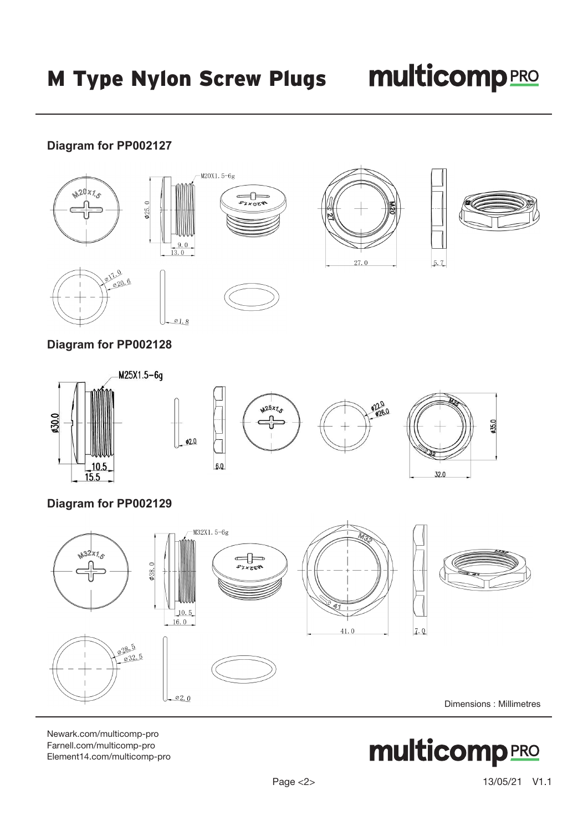$5.7$ 

# **Diagram for PP002127**





€

**PZXOZW** 

 $-M20X1.5-6g$ 





## **Diagram for PP002128**



# **Diagram for PP002129**



Newark.com/multicomp-pro Farnell.com/multicomp-pro Element14.com/multicomp-pro